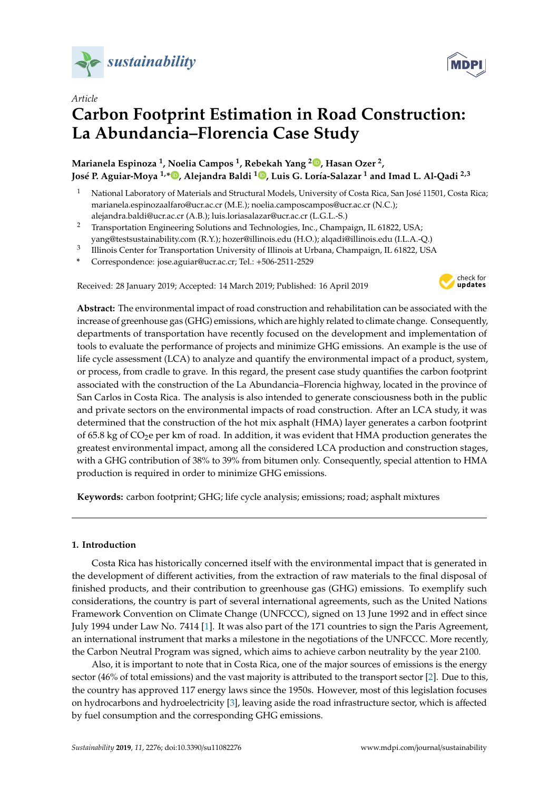

# *Article* **Carbon Footprint Estimation in Road Construction: La Abundancia–Florencia Case Study**

**Marianela Espinoza <sup>1</sup> , Noelia Campos <sup>1</sup> , Rebekah Yang <sup>2</sup> [,](https://orcid.org/0000-0001-6392-0195) Hasan Ozer <sup>2</sup> , José P. Aguiar-Moya 1,\* [,](https://orcid.org/0000-0002-3922-5843) Alejandra Baldi <sup>1</sup> [,](https://orcid.org/0000-0002-0324-1550) Luis G. Loría-Salazar <sup>1</sup> and Imad L. Al-Qadi 2,3**

- <sup>1</sup> National Laboratory of Materials and Structural Models, University of Costa Rica, San José 11501, Costa Rica; marianela.espinozaalfaro@ucr.ac.cr (M.E.); noelia.camposcampos@ucr.ac.cr (N.C.); alejandra.baldi@ucr.ac.cr (A.B.); luis.loriasalazar@ucr.ac.cr (L.G.L.-S.)
- <sup>2</sup> Transportation Engineering Solutions and Technologies, Inc., Champaign, IL 61822, USA; yang@testsustainability.com (R.Y.); hozer@illinois.edu (H.O.); alqadi@illinois.edu (I.L.A.-Q.)
- 3 Illinois Center for Transportation University of Illinois at Urbana, Champaign, IL 61822, USA
- **\*** Correspondence: jose.aguiar@ucr.ac.cr; Tel.: +506-2511-2529

Received: 28 January 2019; Accepted: 14 March 2019; Published: 16 April 2019



**Abstract:** The environmental impact of road construction and rehabilitation can be associated with the increase of greenhouse gas (GHG) emissions, which are highly related to climate change. Consequently, departments of transportation have recently focused on the development and implementation of tools to evaluate the performance of projects and minimize GHG emissions. An example is the use of life cycle assessment (LCA) to analyze and quantify the environmental impact of a product, system, or process, from cradle to grave. In this regard, the present case study quantifies the carbon footprint associated with the construction of the La Abundancia–Florencia highway, located in the province of San Carlos in Costa Rica. The analysis is also intended to generate consciousness both in the public and private sectors on the environmental impacts of road construction. After an LCA study, it was determined that the construction of the hot mix asphalt (HMA) layer generates a carbon footprint of 65.8 kg of CO<sub>2</sub>e per km of road. In addition, it was evident that HMA production generates the greatest environmental impact, among all the considered LCA production and construction stages, with a GHG contribution of 38% to 39% from bitumen only. Consequently, special attention to HMA production is required in order to minimize GHG emissions.

**Keywords:** carbon footprint; GHG; life cycle analysis; emissions; road; asphalt mixtures

## **1. Introduction**

Costa Rica has historically concerned itself with the environmental impact that is generated in the development of different activities, from the extraction of raw materials to the final disposal of finished products, and their contribution to greenhouse gas (GHG) emissions. To exemplify such considerations, the country is part of several international agreements, such as the United Nations Framework Convention on Climate Change (UNFCCC), signed on 13 June 1992 and in effect since July 1994 under Law No. 7414 [\[1\]](#page-11-0). It was also part of the 171 countries to sign the Paris Agreement, an international instrument that marks a milestone in the negotiations of the UNFCCC. More recently, the Carbon Neutral Program was signed, which aims to achieve carbon neutrality by the year 2100.

Also, it is important to note that in Costa Rica, one of the major sources of emissions is the energy sector (46% of total emissions) and the vast majority is attributed to the transport sector [\[2\]](#page-11-1). Due to this, the country has approved 117 energy laws since the 1950s. However, most of this legislation focuses on hydrocarbons and hydroelectricity [\[3\]](#page-11-2), leaving aside the road infrastructure sector, which is affected by fuel consumption and the corresponding GHG emissions.

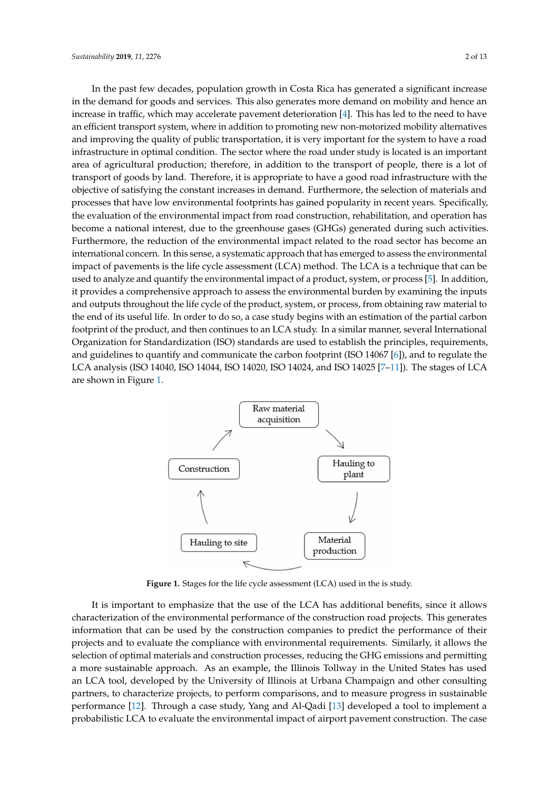In the past few decades, population growth in Costa Rica has generated a significant increase in the demand for goods and services. This also generates more demand on mobility and hence an increase in traffic, which may accelerate pavement deterioration [\[4\]](#page-11-3). This has led to the need to have an efficient transport system, where in addition to promoting new non-motorized mobility alternatives and improving the quality of public transportation, it is very important for the system to have a road infrastructure in optimal condition. The sector where the road under study is located is an important area of agricultural production; therefore, in addition to the transport of people, there is a lot of transport of goods by land. Therefore, it is appropriate to have a good road infrastructure with the objective of satisfying the constant increases in demand. Furthermore, the selection of materials and processes that have low environmental footprints has gained popularity in recent years. Specifically, the evaluation of the environmental impact from road construction, rehabilitation, and operation has become a national interest, due to the greenhouse gases (GHGs) generated during such activities. Furthermore, the reduction of the environmental impact related to the road sector has become an international concern. In this sense, a systematic approach that has emerged to assess the environmental impact of pavements is the life cycle assessment (LCA) method. The LCA is a technique that can be used to analyze and quantify the environmental impact of a product, system, or process [\[5\]](#page-11-4). In addition, it provides a comprehensive approach to assess the environmental burden by examining the inputs and outputs throughout the life cycle of the product, system, or process, from obtaining raw material to the end of its useful life. In order to do so, a case study begins with an estimation of the partial carbon footprint of the product, and then continues to an LCA study. In a similar manner, several International Organization for Standardization (ISO) standards are used to establish the principles, requirements, and guidelines to quantify and communicate the carbon footprint (ISO 14067 [\[6\]](#page-11-5)), and to regulate the LCA analysis (ISO 14040, ISO 14044, ISO 14020, ISO 14024, and ISO 14025 [\[7–](#page-11-6)[11\]](#page-11-7)). The stages of LCA are shown in Figure [1.](#page-1-0)

<span id="page-1-0"></span>

**Figure 1.** Stages for the life cycle assessment (LCA) used in the is study.

It is important to emphasize that the use of the LCA has additional benefits, since it allows characterization of the environmental performance of the construction road projects. This generates information that can be used by the construction companies to predict the performance of their projects and to evaluate the compliance with environmental requirements. Similarly, it allows the selection of optimal materials and construction processes, reducing the GHG emissions and permitting a more sustainable approach. As an example, the Illinois Tollway in the United States has used an LCA tool, developed by the University of Illinois at Urbana Champaign and other consulting partners, to characterize projects, to perform comparisons, and to measure progress in sustainable performance [\[12\]](#page-11-8). Through a case study, Yang and Al-Qadi [\[13\]](#page-11-9) developed a tool to implement a probabilistic LCA to evaluate the environmental impact of airport pavement construction. The case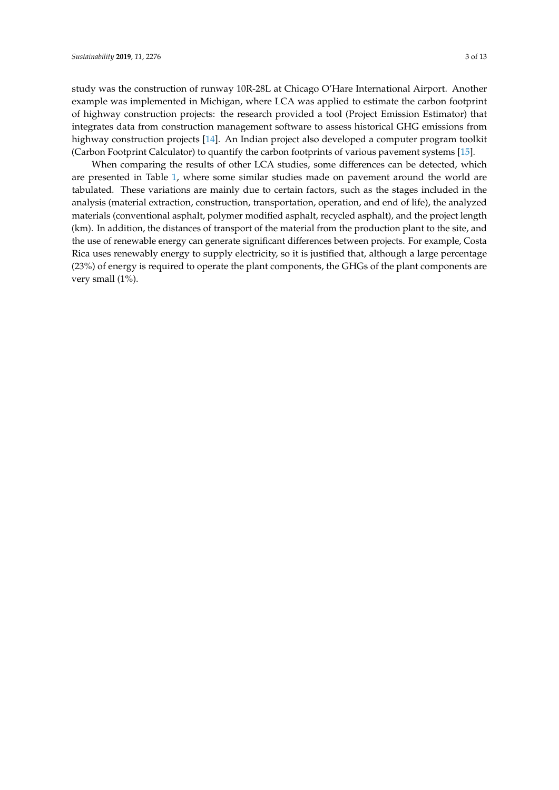study was the construction of runway 10R-28L at Chicago O'Hare International Airport. Another example was implemented in Michigan, where LCA was applied to estimate the carbon footprint of highway construction projects: the research provided a tool (Project Emission Estimator) that integrates data from construction management software to assess historical GHG emissions from highway construction projects [\[14\]](#page-11-10). An Indian project also developed a computer program toolkit (Carbon Footprint Calculator) to quantify the carbon footprints of various pavement systems [\[15\]](#page-11-11).

When comparing the results of other LCA studies, some differences can be detected, which are presented in Table [1,](#page-3-0) where some similar studies made on pavement around the world are tabulated. These variations are mainly due to certain factors, such as the stages included in the analysis (material extraction, construction, transportation, operation, and end of life), the analyzed materials (conventional asphalt, polymer modified asphalt, recycled asphalt), and the project length (km). In addition, the distances of transport of the material from the production plant to the site, and the use of renewable energy can generate significant differences between projects. For example, Costa Rica uses renewably energy to supply electricity, so it is justified that, although a large percentage (23%) of energy is required to operate the plant components, the GHGs of the plant components are very small (1%).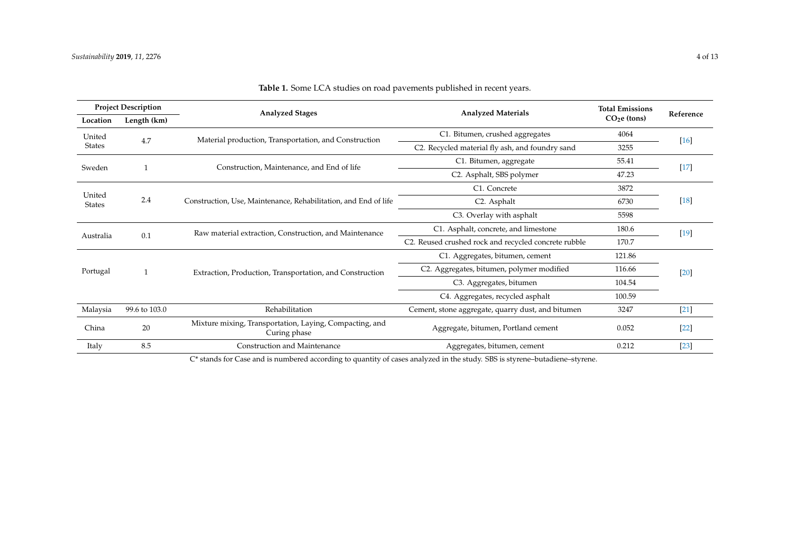| <b>Project Description</b> |               | <b>Analyzed Stages</b>                                                                         | <b>Analyzed Materials</b>                            | <b>Total Emissions</b> |           |  |
|----------------------------|---------------|------------------------------------------------------------------------------------------------|------------------------------------------------------|------------------------|-----------|--|
| Location                   | Length (km)   |                                                                                                |                                                      | $CO2e$ (tons)          | Reference |  |
| United                     | 4.7           | Material production, Transportation, and Construction                                          | C1. Bitumen, crushed aggregates                      | 4064                   | $[16]$    |  |
| <b>States</b>              |               |                                                                                                | C2. Recycled material fly ash, and foundry sand      | 3255                   |           |  |
| Sweden                     |               | C1. Bitumen, aggregate<br>Construction, Maintenance, and End of life                           |                                                      | 55.41                  | $[17]$    |  |
|                            |               |                                                                                                | C2. Asphalt, SBS polymer                             | 47.23                  |           |  |
|                            |               |                                                                                                | C1. Concrete                                         | 3872                   |           |  |
| United<br><b>States</b>    | 2.4           | Construction, Use, Maintenance, Rehabilitation, and End of life                                | C <sub>2</sub> . Asphalt                             | $[18]$<br>6730         |           |  |
|                            |               |                                                                                                | C3. Overlay with asphalt                             | 5598                   |           |  |
| Australia                  | 0.1           | C1. Asphalt, concrete, and limestone<br>Raw material extraction, Construction, and Maintenance |                                                      | 180.6                  | $[19]$    |  |
|                            |               |                                                                                                | C2. Reused crushed rock and recycled concrete rubble | 170.7                  |           |  |
|                            |               |                                                                                                | C1. Aggregates, bitumen, cement                      | 121.86                 |           |  |
| Portugal                   |               | Extraction, Production, Transportation, and Construction                                       | C2. Aggregates, bitumen, polymer modified            | 116.66                 | $[20]$    |  |
|                            |               |                                                                                                | C3. Aggregates, bitumen                              | 104.54                 |           |  |
|                            |               |                                                                                                | C4. Aggregates, recycled asphalt                     | 100.59                 |           |  |
| Malaysia                   | 99.6 to 103.0 | Rehabilitation                                                                                 | Cement, stone aggregate, quarry dust, and bitumen    | 3247                   | $[21]$    |  |
| China                      | $20\,$        | Mixture mixing, Transportation, Laying, Compacting, and<br>Curing phase                        | Aggregate, bitumen, Portland cement                  | 0.052                  | $[22]$    |  |
| Italy                      | 8.5           | Construction and Maintenance                                                                   | Aggregates, bitumen, cement                          | 0.212                  | $[23]$    |  |

**Table 1.** Some LCA studies on road pavements published in recent years.

<span id="page-3-0"></span>C\* stands for Case and is numbered according to quantity of cases analyzed in the study. SBS is styrene–butadiene–styrene.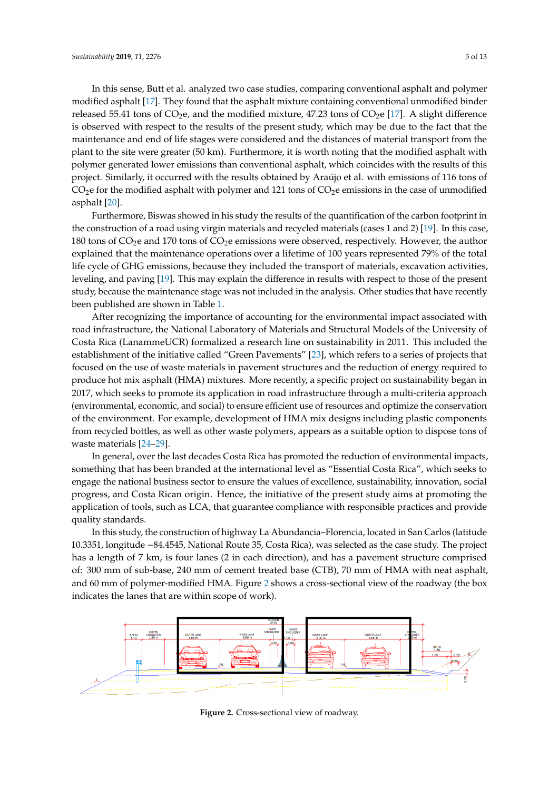In this sense, Butt et al. analyzed two case studies, comparing conventional asphalt and polymer modified asphalt [\[17\]](#page-12-8). They found that the asphalt mixture containing conventional unmodified binder released 55.41 tons of  $CO<sub>2</sub>e$ , and the modified mixture, 47.23 tons of  $CO<sub>2</sub>e$  [\[17\]](#page-12-8). A slight difference is observed with respect to the results of the present study, which may be due to the fact that the asphalt mixture containing containing containing containing containing containing containing containing containing contain maintenance and end of life stages were considered and the distances of material transport from the modified mixture,  $\frac{1}{2}$ . plant to the site were greater (50 km). Furthermore, it is worth noting that the modified asphalt with  $\sim$ polymer generated lower emissions than conventional asphalt, which coincides with the results of this plantsport from the plantsport from the plantsport from the plantsport from the plantsport from the plantsport from the project. Similarly, it occurred with the results obtained by Araújo et al. with emissions of 116 tons of  $CO<sub>2</sub>$ e for the modified asphalt with polymer and 121 tons of  $CO<sub>2</sub>$ e emissions in the case of unmodified asphalt [\[20\]](#page-12-9).  $\text{aspirial}$  it occurs obtained by  $\text{S}$  and  $\text{S}$  for the results of  $\text{S}$  for the  $\text{S}$  for the  $\text{S}$ 

Furthermore, Biswas showed in his study the results of the quantification of the carbon footprint in the construction of a road using virgin materials and recycled materials (cases 1 and 2) [\[19\]](#page-12-10). In this case,  $\frac{1}{2}$ 180 tons of  $CO<sub>2</sub>e$  and 170 tons of  $CO<sub>2</sub>e$  emissions were observed, respectively. However, the author explained that the maintenance operations over a lifetime of 100 years represented 79% of the total life cycle of GHG emissions, because they included the transport of materials, excavation activities, leveling, and paving [\[19\]](#page-12-10). This may explain the difference in results with respect to those of the present study, because the maintenance stage was not included in the analysis. Other studies that have recently in respective in respect to the present studies with respect to the present studies that have recently been published are shown in Table [1.](#page-3-0)<br>been maintenance stage was not in the analysis. Other stage was not in the analysis of the analysis. Other stu modified as phalot with polymer and 121 tons of Co2e emissions of the canonical control for the call foot nonprint

After recognizing the importance of accounting for the environmental impact associated with road infrastructure, the National Laboratory of Materials and Structural Models of the University of Costa Rica (LanammeUCR) formalized a research line on sustainability in 2011. This included the establishment of the initiative called "Green Pavements" [\[23\]](#page-12-11), which refers to a series of projects that focused on the use of waste materials in pavement structures and the reduction of energy required to produce hot mix asphalt (HMA) mixtures. More recently, a specific project on sustainability began in 2017, which seeks to promote its application in road infrastructure through a multi-criteria approach (environmental, economic, and social) to ensure efficient use of resources and optimize the conservation of the environment. For example, development of HMA mix designs including plastic components from recycled bottles, as well as other waste polymers, appears as a suitable option to dispose tons of waste materials [\[24–](#page-12-12)[29\]](#page-12-13). waste materials  $[24-29]$ .

In general, over the last decades Costa Rica has promoted the reduction of environmental impacts, something that has been branded at the international level as "Essential Costa Rica", which seeks to something that has been branded at the international level as "Essential Costa Rica", which seeks to engage the national business sector to ensure the values of excellence, sustainability, innovation, social engage the national business sector to ensure the values of excellence, sustainability, innovation, social progress, and Costa Rican origin. Hence, the initiative of the present study aims at promoting the progress, and Costa Rican origin. Hence, the initiative of the present study aims at promoting the application of tools, such as LCA, that guarantee compliance with responsible practices and provide application of tools, such as LCA, that guarantee compliance with responsible practices and provide quality standards. quality standards. In general, over the last decades Costa Rica has promoted the reduction of environmental impacts,

In this study, the construction of highway La Abundancia–Florencia, located in San Carlos (latitude In this study, the construction of highway La Abundancia–Florencia, located in San Carlos (latitude 10.3351, longitude −84.4545, National Route 35, Costa Rica), was selected as the case study. The project 10.3351, longitude −84.4545, National Route 35, Costa Rica), was selected as the case study. The project has has a length of  $7$  km, is four lanes ( $2$  in each direction), and has a pavement structure comprised of: 300 mm of sub-base, 240 mm of cement treated base (CTB), 70 mm of HMA with neat asphalt, and 60 mm of polymer-modified HMA. Figure 2 shows a cro[ss](#page-4-0)-sectional view of the roadway (the box indicates the lanes that are within scope of work). lanes that are within scope of work).

<span id="page-4-0"></span>

**Figure 2.** Cross-sectional view of roadway. **Figure 2.** Cross-sectional view of roadway.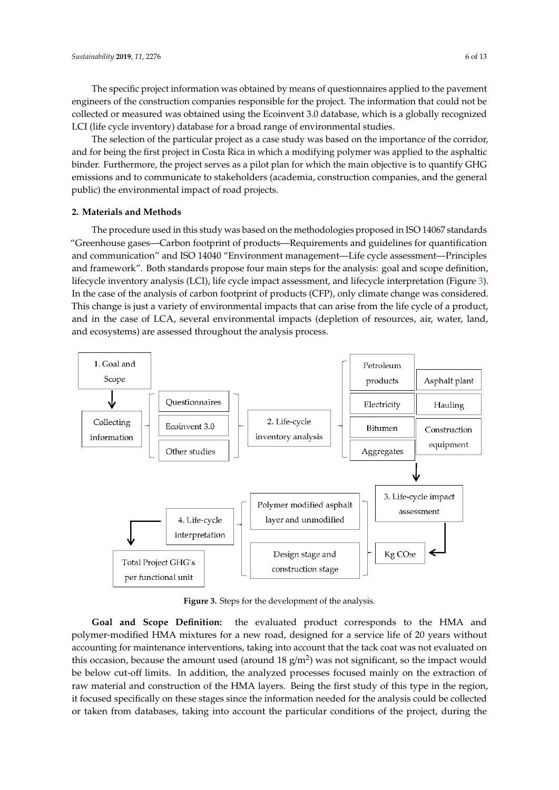The specific project information was obtained by means of questionnaires applied to the pavement engineers of the construction companies responsible for the project. The information that could not be  $\mathbb{C}$ collected or measured was obtained using the Ecoinvent 3.0 database, which is a globally recognized<br>LCI (life collection) database for a broad range of environmental studies. LCI (life cycle inventory) database for a broad range of environmental studies.<br>The particular project as a case study was based on the importance of the correlation of the correlation of th

The selection of the particular project as a case study was based on the importance of the corridor,<br> and for being the first project in Costa Rica in which a modifying polymer was applied to the asphaltic<br>binders as a pilot plan for which the main objective is to quantify GHG binder. Furthermore, the project serves as a pilot plan for which the main objective is to quantify GHG emissions and to communicate to stakeholders (academia, construction companies, and the general public) the environmental impact of road projects.

## **2. Materials and Methods 2. Materials and Methods**

The procedure used in this study was based on the methodologies proposed in ISO 14067 standards The procedure used in this study was based on the methodologies proposed in ISO 14067 standards "Greenhouse gases—Carbon footprint of products—Requirements and guidelines for quantification and communication" and ISO 14040 "Environment management—Life cycle assessment—Principles and framework". Both standards propose four main steps for the analysis: goal and scope definition, lifecycle inventory analysis (LCI), life cycle impact assessment, and lifecycle interpretation (Figure [3\)](#page-5-0). In the case of the analysis of carbon footprint of products (CFP), only climate change was considered. This change is just a variety of environmental impacts that can arise from the life cycle of a product, and in the case of LCA, several environmental impacts (depletion of resources, air, water, land, and ecosystems) are assessed throughout the analysis process.

<span id="page-5-0"></span>

**Figure 3.** Steps for the development of the analysis. **Figure 3.** Steps for the development of the analysis.

polymer-modified HMA mixtures for a new road, designed for a service life of 20 years without accounting for maintenance interventions, taking into account that the tack coat was not evaluated on accounting for maintenance interventions, taking into account that the tack coat was not evaluated on this occasion, because the amount used (around  $18 \text{ g/m}^2$ ) was not significant, so the impact would and occusion, because the uniourit asca (around 18 g/m<sup>2</sup>) was not significant, so the impact would be below cut-off limits. In addition, the analyzed processes focused mainly on the extraction of addition, the analyzed processes focused mainly on the extraction of raw material and construction of the raw material and construction of the HMA layers. Being the first study of this type in the region, If focused specifically on these stages since the information needed for the analysis could be collected it focused specifically on these stages since the information needed for the analysis could be collected information operation of the analysis could be concerned or the analysis could be concerned or taken from databases, taking into account the particular conditions of the project, during the **Goal and Scope Definition:** the evaluated product corresponds to the HMA and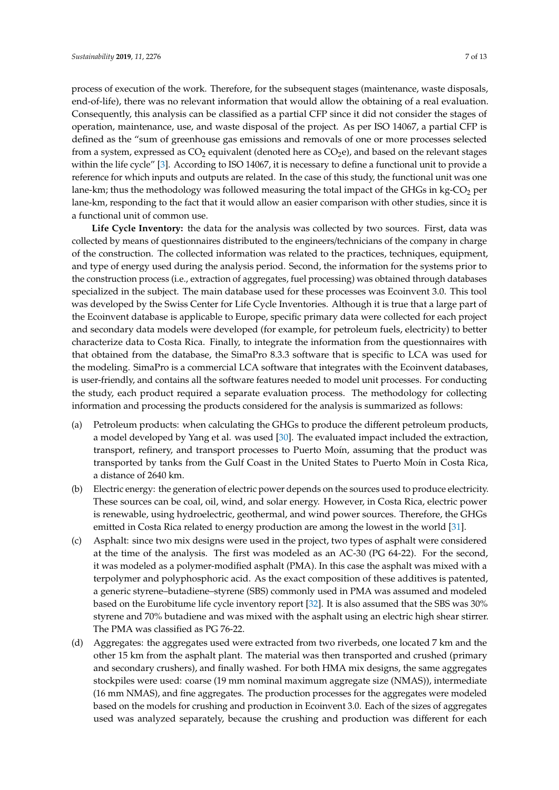process of execution of the work. Therefore, for the subsequent stages (maintenance, waste disposals, end-of-life), there was no relevant information that would allow the obtaining of a real evaluation. Consequently, this analysis can be classified as a partial CFP since it did not consider the stages of operation, maintenance, use, and waste disposal of the project. As per ISO 14067, a partial CFP is defined as the "sum of greenhouse gas emissions and removals of one or more processes selected from a system, expressed as  $CO<sub>2</sub>$  equivalent (denoted here as  $CO<sub>2</sub>e$ ), and based on the relevant stages within the life cycle" [\[3\]](#page-11-2). According to ISO 14067, it is necessary to define a functional unit to provide a reference for which inputs and outputs are related. In the case of this study, the functional unit was one lane-km; thus the methodology was followed measuring the total impact of the GHGs in  $kg$ -CO<sub>2</sub> per lane-km, responding to the fact that it would allow an easier comparison with other studies, since it is a functional unit of common use.

**Life Cycle Inventory:** the data for the analysis was collected by two sources. First, data was collected by means of questionnaires distributed to the engineers/technicians of the company in charge of the construction. The collected information was related to the practices, techniques, equipment, and type of energy used during the analysis period. Second, the information for the systems prior to the construction process (i.e., extraction of aggregates, fuel processing) was obtained through databases specialized in the subject. The main database used for these processes was Ecoinvent 3.0. This tool was developed by the Swiss Center for Life Cycle Inventories. Although it is true that a large part of the Ecoinvent database is applicable to Europe, specific primary data were collected for each project and secondary data models were developed (for example, for petroleum fuels, electricity) to better characterize data to Costa Rica. Finally, to integrate the information from the questionnaires with that obtained from the database, the SimaPro 8.3.3 software that is specific to LCA was used for the modeling. SimaPro is a commercial LCA software that integrates with the Ecoinvent databases, is user-friendly, and contains all the software features needed to model unit processes. For conducting the study, each product required a separate evaluation process. The methodology for collecting information and processing the products considered for the analysis is summarized as follows:

- (a) Petroleum products: when calculating the GHGs to produce the different petroleum products, a model developed by Yang et al. was used [\[30\]](#page-12-14). The evaluated impact included the extraction, transport, refinery, and transport processes to Puerto Moín, assuming that the product was transported by tanks from the Gulf Coast in the United States to Puerto Moín in Costa Rica, a distance of 2640 km.
- (b) Electric energy: the generation of electric power depends on the sources used to produce electricity. These sources can be coal, oil, wind, and solar energy. However, in Costa Rica, electric power is renewable, using hydroelectric, geothermal, and wind power sources. Therefore, the GHGs emitted in Costa Rica related to energy production are among the lowest in the world [\[31\]](#page-12-15).
- (c) Asphalt: since two mix designs were used in the project, two types of asphalt were considered at the time of the analysis. The first was modeled as an AC-30 (PG 64-22). For the second, it was modeled as a polymer-modified asphalt (PMA). In this case the asphalt was mixed with a terpolymer and polyphosphoric acid. As the exact composition of these additives is patented, a generic styrene–butadiene–styrene (SBS) commonly used in PMA was assumed and modeled based on the Eurobitume life cycle inventory report [\[32\]](#page-12-16). It is also assumed that the SBS was 30% styrene and 70% butadiene and was mixed with the asphalt using an electric high shear stirrer. The PMA was classified as PG 76-22.
- (d) Aggregates: the aggregates used were extracted from two riverbeds, one located 7 km and the other 15 km from the asphalt plant. The material was then transported and crushed (primary and secondary crushers), and finally washed. For both HMA mix designs, the same aggregates stockpiles were used: coarse (19 mm nominal maximum aggregate size (NMAS)), intermediate (16 mm NMAS), and fine aggregates. The production processes for the aggregates were modeled based on the models for crushing and production in Ecoinvent 3.0. Each of the sizes of aggregates used was analyzed separately, because the crushing and production was different for each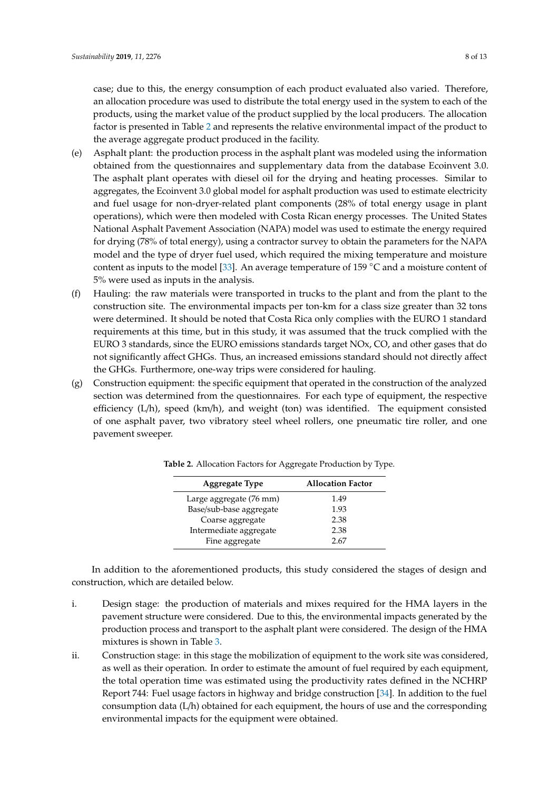case; due to this, the energy consumption of each product evaluated also varied. Therefore, an allocation procedure was used to distribute the total energy used in the system to each of the products, using the market value of the product supplied by the local producers. The allocation factor is presented in Table [2](#page-7-0) and represents the relative environmental impact of the product to the average aggregate product produced in the facility.

- (e) Asphalt plant: the production process in the asphalt plant was modeled using the information obtained from the questionnaires and supplementary data from the database Ecoinvent 3.0. The asphalt plant operates with diesel oil for the drying and heating processes. Similar to aggregates, the Ecoinvent 3.0 global model for asphalt production was used to estimate electricity and fuel usage for non-dryer-related plant components (28% of total energy usage in plant operations), which were then modeled with Costa Rican energy processes. The United States National Asphalt Pavement Association (NAPA) model was used to estimate the energy required for drying (78% of total energy), using a contractor survey to obtain the parameters for the NAPA model and the type of dryer fuel used, which required the mixing temperature and moisture content as inputs to the model [\[33\]](#page-12-17). An average temperature of 159 ◦C and a moisture content of 5% were used as inputs in the analysis.
- (f) Hauling: the raw materials were transported in trucks to the plant and from the plant to the construction site. The environmental impacts per ton-km for a class size greater than 32 tons were determined. It should be noted that Costa Rica only complies with the EURO 1 standard requirements at this time, but in this study, it was assumed that the truck complied with the EURO 3 standards, since the EURO emissions standards target NOx, CO, and other gases that do not significantly affect GHGs. Thus, an increased emissions standard should not directly affect the GHGs. Furthermore, one-way trips were considered for hauling.
- <span id="page-7-0"></span>(g) Construction equipment: the specific equipment that operated in the construction of the analyzed section was determined from the questionnaires. For each type of equipment, the respective efficiency  $(L/h)$ , speed  $(km/h)$ , and weight (ton) was identified. The equipment consisted of one asphalt paver, two vibratory steel wheel rollers, one pneumatic tire roller, and one pavement sweeper.

| <b>Aggregate Type</b>   | <b>Allocation Factor</b> |
|-------------------------|--------------------------|
| Large aggregate (76 mm) | 1.49                     |
| Base/sub-base aggregate | 1.93                     |
| Coarse aggregate        | 2.38                     |
| Intermediate aggregate  | 2.38                     |
| Fine aggregate          | 2.67                     |

**Table 2.** Allocation Factors for Aggregate Production by Type.

In addition to the aforementioned products, this study considered the stages of design and construction, which are detailed below.

- i. Design stage: the production of materials and mixes required for the HMA layers in the pavement structure were considered. Due to this, the environmental impacts generated by the production process and transport to the asphalt plant were considered. The design of the HMA mixtures is shown in Table [3.](#page-8-0)
- ii. Construction stage: in this stage the mobilization of equipment to the work site was considered, as well as their operation. In order to estimate the amount of fuel required by each equipment, the total operation time was estimated using the productivity rates defined in the NCHRP Report 744: Fuel usage factors in highway and bridge construction [\[34\]](#page-12-18). In addition to the fuel consumption data (L/h) obtained for each equipment, the hours of use and the corresponding environmental impacts for the equipment were obtained.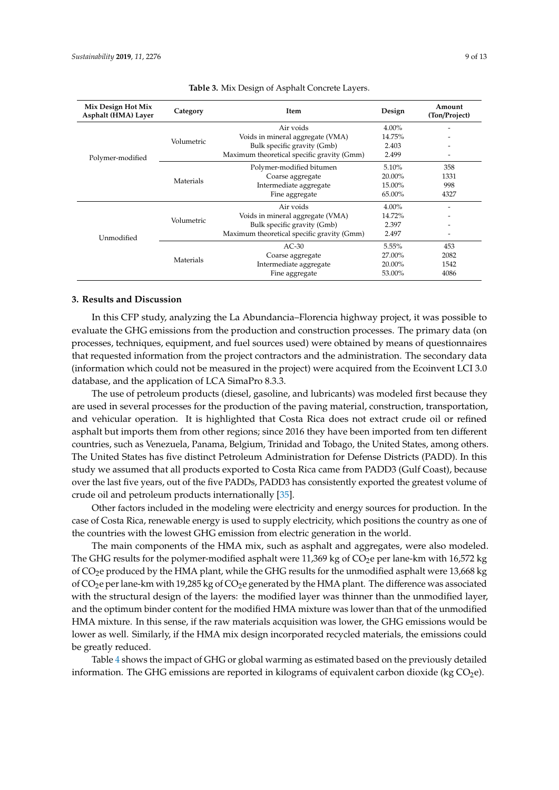<span id="page-8-0"></span>

| Mix Design Hot Mix<br>Asphalt (HMA) Layer | Category   | Item                                       | Design | Amount<br>(Ton/Project) |
|-------------------------------------------|------------|--------------------------------------------|--------|-------------------------|
|                                           |            | Air voids                                  | 4.00%  |                         |
|                                           |            | Voids in mineral aggregate (VMA)           | 14.75% |                         |
|                                           | Volumetric | Bulk specific gravity (Gmb)                | 2.403  |                         |
| Polymer-modified                          |            | Maximum theoretical specific gravity (Gmm) | 2.499  |                         |
|                                           | Materials  | Polymer-modified bitumen                   | 5.10%  | 358                     |
|                                           |            | Coarse aggregate                           | 20.00% | 1331                    |
|                                           |            | Intermediate aggregate                     | 15.00% | 998                     |
|                                           |            | Fine aggregate                             | 65.00% | 4327                    |
|                                           |            | Air voids                                  | 4.00%  |                         |
|                                           | Volumetric | Voids in mineral aggregate (VMA)           | 14.72% |                         |
|                                           |            | Bulk specific gravity (Gmb)                | 2.397  |                         |
| Unmodified                                |            | Maximum theoretical specific gravity (Gmm) | 2.497  |                         |
|                                           |            | $AC-30$                                    | 5.55%  | 453                     |
|                                           |            | Coarse aggregate                           | 27.00% | 2082                    |
|                                           | Materials  | Intermediate aggregate                     | 20.00% | 1542                    |
|                                           |            | Fine aggregate                             | 53.00% | 4086                    |

#### **Table 3.** Mix Design of Asphalt Concrete Layers.

#### **3. Results and Discussion**

In this CFP study, analyzing the La Abundancia–Florencia highway project, it was possible to evaluate the GHG emissions from the production and construction processes. The primary data (on processes, techniques, equipment, and fuel sources used) were obtained by means of questionnaires that requested information from the project contractors and the administration. The secondary data (information which could not be measured in the project) were acquired from the Ecoinvent LCI 3.0 database, and the application of LCA SimaPro 8.3.3.

The use of petroleum products (diesel, gasoline, and lubricants) was modeled first because they are used in several processes for the production of the paving material, construction, transportation, and vehicular operation. It is highlighted that Costa Rica does not extract crude oil or refined asphalt but imports them from other regions; since 2016 they have been imported from ten different countries, such as Venezuela, Panama, Belgium, Trinidad and Tobago, the United States, among others. The United States has five distinct Petroleum Administration for Defense Districts (PADD). In this study we assumed that all products exported to Costa Rica came from PADD3 (Gulf Coast), because over the last five years, out of the five PADDs, PADD3 has consistently exported the greatest volume of crude oil and petroleum products internationally [\[35\]](#page-12-19).

Other factors included in the modeling were electricity and energy sources for production. In the case of Costa Rica, renewable energy is used to supply electricity, which positions the country as one of the countries with the lowest GHG emission from electric generation in the world.

The main components of the HMA mix, such as asphalt and aggregates, were also modeled. The GHG results for the polymer-modified asphalt were  $11,369$  kg of  $CO<sub>2</sub>$ e per lane-km with 16,572 kg of  $CO<sub>2</sub>e$  produced by the HMA plant, while the GHG results for the unmodified asphalt were 13,668 kg of  $CO<sub>2</sub>e$  per lane-km with 19,285 kg of  $CO<sub>2</sub>e$  generated by the HMA plant. The difference was associated with the structural design of the layers: the modified layer was thinner than the unmodified layer, and the optimum binder content for the modified HMA mixture was lower than that of the unmodified HMA mixture. In this sense, if the raw materials acquisition was lower, the GHG emissions would be lower as well. Similarly, if the HMA mix design incorporated recycled materials, the emissions could be greatly reduced.

Table [4](#page-9-0) shows the impact of GHG or global warming as estimated based on the previously detailed information. The GHG emissions are reported in kilograms of equivalent carbon dioxide (kg  $CO<sub>2</sub>e$ ).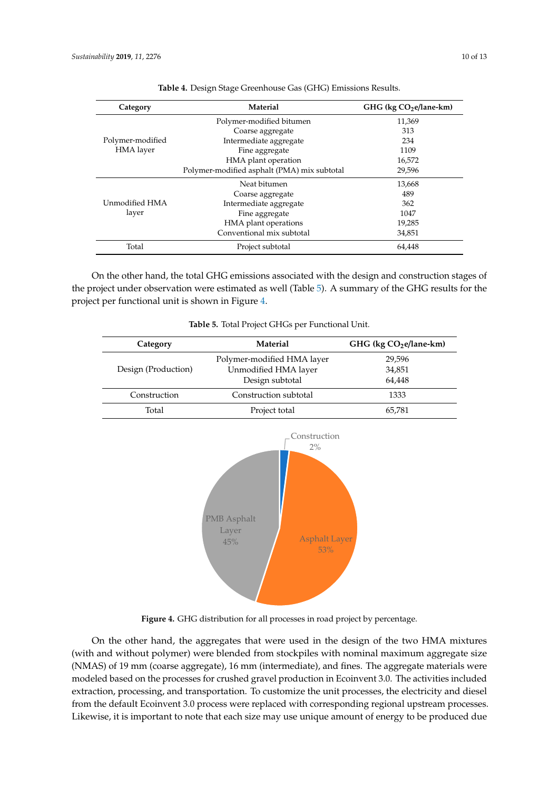<span id="page-9-0"></span>

| Category         | Material                                    | GHG (kg CO <sub>2</sub> e/lane-km) |  |
|------------------|---------------------------------------------|------------------------------------|--|
|                  | Polymer-modified bitumen                    | 11,369                             |  |
|                  | Coarse aggregate                            | 313                                |  |
| Polymer-modified | Intermediate aggregate                      | 234                                |  |
| HMA layer        | Fine aggregate                              | 1109                               |  |
|                  | HMA plant operation                         | 16,572                             |  |
|                  | Polymer-modified asphalt (PMA) mix subtotal | 29,596                             |  |
|                  | Neat bitumen                                | 13,668                             |  |
|                  | Coarse aggregate                            | 489                                |  |
| Unmodified HMA   | Intermediate aggregate                      | 362                                |  |
| layer            | Fine aggregate                              | 1047                               |  |
|                  | HMA plant operations                        | 19,285                             |  |
|                  | Conventional mix subtotal                   | 34,851                             |  |
| Total            | Project subtotal                            | 64,448                             |  |

**Table 4.** Design Stage Greenhouse Gas (GHG) Emissions Results.

On the other hand, the total GHG emissions associated with the design and construction stages of the project under observation were estimated as well (Table 5). A summary of the GHG results for the project per functional unit is shown in Figure 4. On the other hand, the total GHG emissions associated with the design and construction stages of the project under observation were estimated as well (Table [5\)](#page-9-1)[.](#page-9-2) A summary of the GHG results for the project per functional u

<span id="page-9-2"></span><span id="page-9-1"></span>

| Category            | Material                                                          | GHG (kg CO <sub>2</sub> e/lane-km) |  |
|---------------------|-------------------------------------------------------------------|------------------------------------|--|
|                     | Polymer-modified HMA layer                                        | 29,596                             |  |
| Design (Production) | Unmodified HMA layer                                              | 34,851                             |  |
|                     | Design subtotal                                                   | 64,448<br>1333<br>65,781           |  |
| Construction        | Construction subtotal                                             |                                    |  |
| Total               | Project total                                                     |                                    |  |
|                     | <b>PMB</b> Asphalt<br>Layer<br><b>Asphalt Layer</b><br>45%<br>53% |                                    |  |

|  |  |  |  |  | Table 5. Total Project GHGs per Functional Unit. |  |
|--|--|--|--|--|--------------------------------------------------|--|
|--|--|--|--|--|--------------------------------------------------|--|

**Figure 4.** GHG distribution for all processes in road project by percentage.

On the other hand, the aggregates that were used in the design of the two HMA mixtures (NMAS) of 19 mm (coarse aggregate), 16 mm (intermediate), and fines. The aggregate materials were modeled based on the processes for crushed gravel production in Ecoinvent 3.0. The activities included extraction, processing, and transportation. To customize the unit processes, the electricity and diesel from the default Ecoinvent 3.0 process were replaced with corresponding regional upstream processes. Likewise, it is important to note that each size may use unique amount of energy to be produced due (with and without polymer) were blended from stockpiles with nominal maximum aggregate size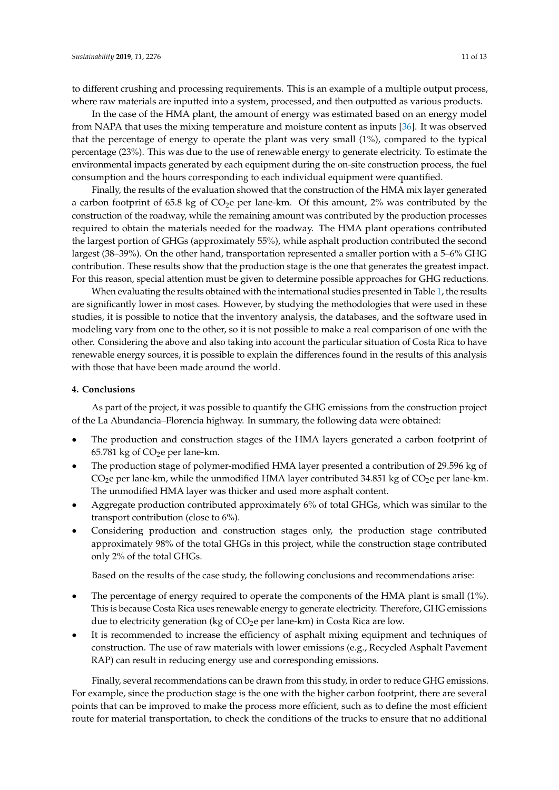to different crushing and processing requirements. This is an example of a multiple output process, where raw materials are inputted into a system, processed, and then outputted as various products.

In the case of the HMA plant, the amount of energy was estimated based on an energy model from NAPA that uses the mixing temperature and moisture content as inputs [\[36\]](#page-12-20). It was observed that the percentage of energy to operate the plant was very small (1%), compared to the typical percentage (23%). This was due to the use of renewable energy to generate electricity. To estimate the environmental impacts generated by each equipment during the on-site construction process, the fuel consumption and the hours corresponding to each individual equipment were quantified.

Finally, the results of the evaluation showed that the construction of the HMA mix layer generated a carbon footprint of 65.8 kg of  $CO<sub>2</sub>e$  per lane-km. Of this amount, 2% was contributed by the construction of the roadway, while the remaining amount was contributed by the production processes required to obtain the materials needed for the roadway. The HMA plant operations contributed the largest portion of GHGs (approximately 55%), while asphalt production contributed the second largest (38–39%). On the other hand, transportation represented a smaller portion with a 5–6% GHG contribution. These results show that the production stage is the one that generates the greatest impact. For this reason, special attention must be given to determine possible approaches for GHG reductions.

When evaluating the results obtained with the international studies presented in Table [1,](#page-3-0) the results are significantly lower in most cases. However, by studying the methodologies that were used in these studies, it is possible to notice that the inventory analysis, the databases, and the software used in modeling vary from one to the other, so it is not possible to make a real comparison of one with the other. Considering the above and also taking into account the particular situation of Costa Rica to have renewable energy sources, it is possible to explain the differences found in the results of this analysis with those that have been made around the world.

## **4. Conclusions**

As part of the project, it was possible to quantify the GHG emissions from the construction project of the La Abundancia–Florencia highway. In summary, the following data were obtained:

- The production and construction stages of the HMA layers generated a carbon footprint of  $65.781$  kg of  $CO<sub>2</sub>e$  per lane-km.
- The production stage of polymer-modified HMA layer presented a contribution of 29.596 kg of  $CO<sub>2</sub>e$  per lane-km, while the unmodified HMA layer contributed 34.851 kg of  $CO<sub>2</sub>e$  per lane-km. The unmodified HMA layer was thicker and used more asphalt content.
- Aggregate production contributed approximately 6% of total GHGs, which was similar to the transport contribution (close to 6%).
- Considering production and construction stages only, the production stage contributed approximately 98% of the total GHGs in this project, while the construction stage contributed only 2% of the total GHGs.

Based on the results of the case study, the following conclusions and recommendations arise:

- The percentage of energy required to operate the components of the HMA plant is small (1%). This is because Costa Rica uses renewable energy to generate electricity. Therefore, GHG emissions due to electricity generation (kg of  $CO<sub>2</sub>e$  per lane-km) in Costa Rica are low.
- It is recommended to increase the efficiency of asphalt mixing equipment and techniques of construction. The use of raw materials with lower emissions (e.g., Recycled Asphalt Pavement RAP) can result in reducing energy use and corresponding emissions.

Finally, several recommendations can be drawn from this study, in order to reduce GHG emissions. For example, since the production stage is the one with the higher carbon footprint, there are several points that can be improved to make the process more efficient, such as to define the most efficient route for material transportation, to check the conditions of the trucks to ensure that no additional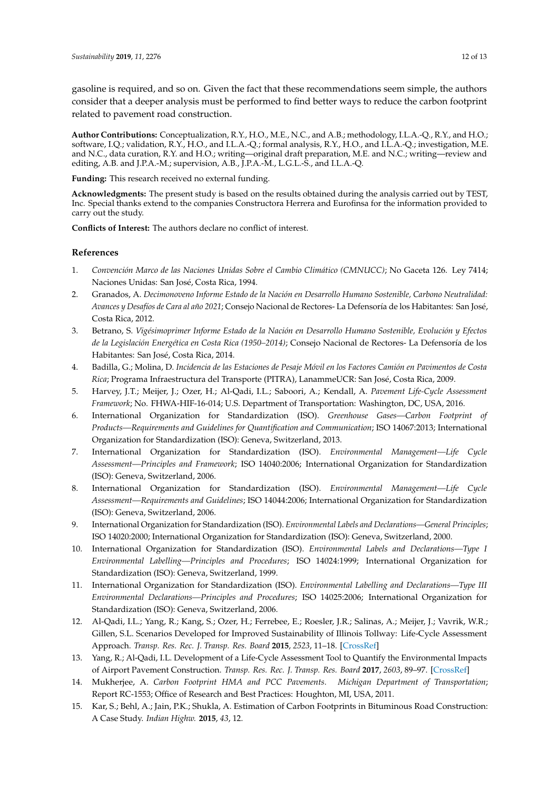gasoline is required, and so on. Given the fact that these recommendations seem simple, the authors consider that a deeper analysis must be performed to find better ways to reduce the carbon footprint related to pavement road construction.

**Author Contributions:** Conceptualization, R.Y., H.O., M.E., N.C., and A.B.; methodology, I.L.A.-Q., R.Y., and H.O.; software, I.Q.; validation, R.Y., H.O., and I.L.A.-Q.; formal analysis, R.Y., H.O., and I.L.A.-Q.; investigation, M.E. and N.C., data curation, R.Y. and H.O.; writing—original draft preparation, M.E. and N.C.; writing—review and editing, A.B. and J.P.A.-M.; supervision, A.B., J.P.A.-M., L.G.L.-S., and I.L.A.-Q.

**Funding:** This research received no external funding.

**Acknowledgments:** The present study is based on the results obtained during the analysis carried out by TEST, Inc. Special thanks extend to the companies Constructora Herrera and Eurofinsa for the information provided to carry out the study.

**Conflicts of Interest:** The authors declare no conflict of interest.

## **References**

- <span id="page-11-0"></span>1. *Convención Marco de las Naciones Unidas Sobre el Cambio Climático (CMNUCC)*; No Gaceta 126. Ley 7414; Naciones Unidas: San José, Costa Rica, 1994.
- <span id="page-11-1"></span>2. Granados, A. *Decimonoveno Informe Estado de la Nación en Desarrollo Humano Sostenible, Carbono Neutralidad: Avances y Desafíos de Cara al año 2021*; Consejo Nacional de Rectores- La Defensoría de los Habitantes: San José, Costa Rica, 2012.
- <span id="page-11-2"></span>3. Betrano, S. *Vigésimoprimer Informe Estado de la Nación en Desarrollo Humano Sostenible, Evolución y Efectos de la Legislación Energética en Costa Rica (1950–2014)*; Consejo Nacional de Rectores- La Defensoría de los Habitantes: San José, Costa Rica, 2014.
- <span id="page-11-3"></span>4. Badilla, G.; Molina, D. *Incidencia de las Estaciones de Pesaje Móvil en los Factores Camión en Pavimentos de Costa Rica*; Programa Infraestructura del Transporte (PITRA), LanammeUCR: San José, Costa Rica, 2009.
- <span id="page-11-4"></span>5. Harvey, J.T.; Meijer, J.; Ozer, H.; Al-Qadi, I.L.; Saboori, A.; Kendall, A. *Pavement Life-Cycle Assessment Framework*; No. FHWA-HIF-16-014; U.S. Department of Transportation: Washington, DC, USA, 2016.
- <span id="page-11-5"></span>6. International Organization for Standardization (ISO). *Greenhouse Gases—Carbon Footprint of Products—Requirements and Guidelines for Quantification and Communication*; ISO 14067:2013; International Organization for Standardization (ISO): Geneva, Switzerland, 2013.
- <span id="page-11-6"></span>7. International Organization for Standardization (ISO). *Environmental Management—Life Cycle Assessment—Principles and Framework*; ISO 14040:2006; International Organization for Standardization (ISO): Geneva, Switzerland, 2006.
- 8. International Organization for Standardization (ISO). *Environmental Management—Life Cycle Assessment—Requirements and Guidelines*; ISO 14044:2006; International Organization for Standardization (ISO): Geneva, Switzerland, 2006.
- 9. International Organization for Standardization (ISO). *Environmental Labels and Declarations—General Principles*; ISO 14020:2000; International Organization for Standardization (ISO): Geneva, Switzerland, 2000.
- 10. International Organization for Standardization (ISO). *Environmental Labels and Declarations—Type I Environmental Labelling—Principles and Procedures*; ISO 14024:1999; International Organization for Standardization (ISO): Geneva, Switzerland, 1999.
- <span id="page-11-7"></span>11. International Organization for Standardization (ISO). *Environmental Labelling and Declarations—Type III Environmental Declarations—Principles and Procedures*; ISO 14025:2006; International Organization for Standardization (ISO): Geneva, Switzerland, 2006.
- <span id="page-11-8"></span>12. Al-Qadi, I.L.; Yang, R.; Kang, S.; Ozer, H.; Ferrebee, E.; Roesler, J.R.; Salinas, A.; Meijer, J.; Vavrik, W.R.; Gillen, S.L. Scenarios Developed for Improved Sustainability of Illinois Tollway: Life-Cycle Assessment Approach. *Transp. Res. Rec. J. Transp. Res. Board* **2015**, *2523*, 11–18. [\[CrossRef\]](http://dx.doi.org/10.3141/2523-02)
- <span id="page-11-9"></span>13. Yang, R.; Al-Qadi, I.L. Development of a Life-Cycle Assessment Tool to Quantify the Environmental Impacts of Airport Pavement Construction. *Transp. Res. Rec. J. Transp. Res. Board* **2017**, *2603*, 89–97. [\[CrossRef\]](http://dx.doi.org/10.3141/2603-09)
- <span id="page-11-10"></span>14. Mukherjee, A. *Carbon Footprint HMA and PCC Pavements. Michigan Department of Transportation*; Report RC-1553; Office of Research and Best Practices: Houghton, MI, USA, 2011.
- <span id="page-11-11"></span>15. Kar, S.; Behl, A.; Jain, P.K.; Shukla, A. Estimation of Carbon Footprints in Bituminous Road Construction: A Case Study. *Indian Highw.* **2015**, *43*, 12.